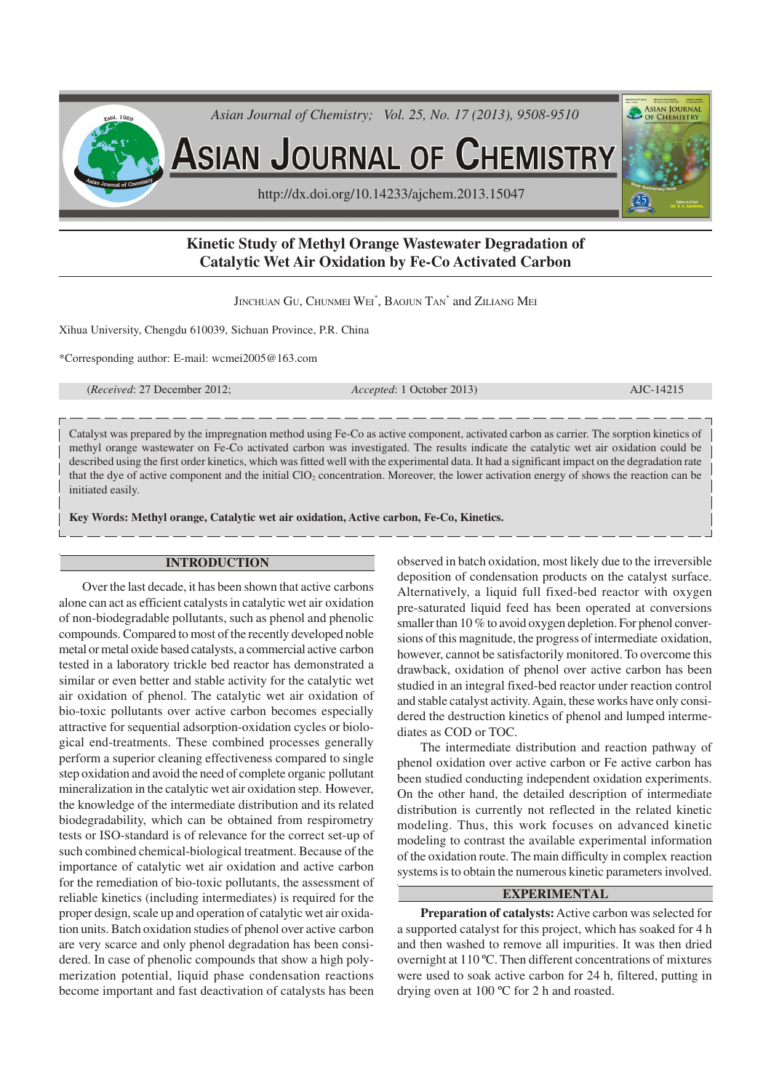

# **Kinetic Study of Methyl Orange Wastewater Degradation of Catalytic Wet Air Oxidation by Fe-Co Activated Carbon**

Jinchuan Gu, Chunmei Wei $^\ast,$  Baojun Tan $^\ast$  and Ziliang Mei

Xihua University, Chengdu 610039, Sichuan Province, P.R. China

\*Corresponding author: E-mail: wcmei2005@163.com

(*Received*: 27 December 2012; *Accepted*: 1 October 2013) AJC-14215

Catalyst was prepared by the impregnation method using Fe-Co as active component, activated carbon as carrier. The sorption kinetics of methyl orange wastewater on Fe-Co activated carbon was investigated. The results indicate the catalytic wet air oxidation could be described using the first order kinetics, which was fitted well with the experimental data. It had a significant impact on the degradation rate that the dye of active component and the initial ClO<sub>2</sub> concentration. Moreover, the lower activation energy of shows the reaction can be initiated easily.

**Key Words: Methyl orange, Catalytic wet air oxidation, Active carbon, Fe-Co, Kinetics.**

### **INTRODUCTION**

Over the last decade, it has been shown that active carbons alone can act as efficient catalysts in catalytic wet air oxidation of non-biodegradable pollutants, such as phenol and phenolic compounds. Compared to most of the recently developed noble metal or metal oxide based catalysts, a commercial active carbon tested in a laboratory trickle bed reactor has demonstrated a similar or even better and stable activity for the catalytic wet air oxidation of phenol. The catalytic wet air oxidation of bio-toxic pollutants over active carbon becomes especially attractive for sequential adsorption-oxidation cycles or biological end-treatments. These combined processes generally perform a superior cleaning effectiveness compared to single step oxidation and avoid the need of complete organic pollutant mineralization in the catalytic wet air oxidation step. However, the knowledge of the intermediate distribution and its related biodegradability, which can be obtained from respirometry tests or ISO-standard is of relevance for the correct set-up of such combined chemical-biological treatment. Because of the importance of catalytic wet air oxidation and active carbon for the remediation of bio-toxic pollutants, the assessment of reliable kinetics (including intermediates) is required for the proper design, scale up and operation of catalytic wet air oxidation units. Batch oxidation studies of phenol over active carbon are very scarce and only phenol degradation has been considered. In case of phenolic compounds that show a high polymerization potential, liquid phase condensation reactions become important and fast deactivation of catalysts has been

observed in batch oxidation, most likely due to the irreversible deposition of condensation products on the catalyst surface. Alternatively, a liquid full fixed-bed reactor with oxygen pre-saturated liquid feed has been operated at conversions smaller than 10 % to avoid oxygen depletion. For phenol conversions of this magnitude, the progress of intermediate oxidation, however, cannot be satisfactorily monitored. To overcome this drawback, oxidation of phenol over active carbon has been studied in an integral fixed-bed reactor under reaction control and stable catalyst activity. Again, these works have only considered the destruction kinetics of phenol and lumped intermediates as COD or TOC.

The intermediate distribution and reaction pathway of phenol oxidation over active carbon or Fe active carbon has been studied conducting independent oxidation experiments. On the other hand, the detailed description of intermediate distribution is currently not reflected in the related kinetic modeling. Thus, this work focuses on advanced kinetic modeling to contrast the available experimental information of the oxidation route. The main difficulty in complex reaction systems is to obtain the numerous kinetic parameters involved.

## **EXPERIMENTAL**

**Preparation of catalysts:**Active carbon was selected for a supported catalyst for this project, which has soaked for 4 h and then washed to remove all impurities. It was then dried overnight at 110 ºC. Then different concentrations of mixtures were used to soak active carbon for 24 h, filtered, putting in drying oven at 100 ºC for 2 h and roasted.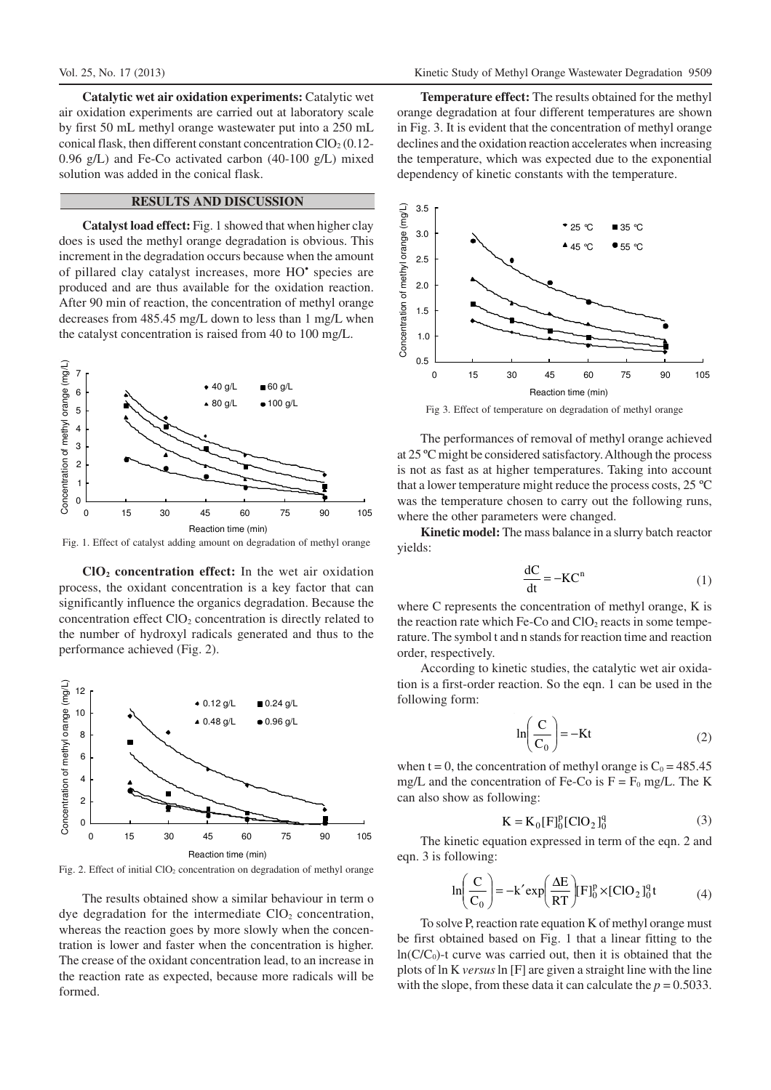**Catalytic wet air oxidation experiments:** Catalytic wet air oxidation experiments are carried out at laboratory scale by first 50 mL methyl orange wastewater put into a 250 mL conical flask, then different constant concentration  $ClO<sub>2</sub> (0.12-$ 0.96 g/L) and Fe-Co activated carbon (40-100 g/L) mixed solution was added in the conical flask.

## **RESULTS AND DISCUSSION**

**Catalyst load effect:** Fig. 1 showed that when higher clay does is used the methyl orange degradation is obvious. This increment in the degradation occurs because when the amount of pillared clay catalyst increases, more HO<sup>•</sup> species are produced and are thus available for the oxidation reaction. After 90 min of reaction, the concentration of methyl orange decreases from 485.45 mg/L down to less than 1 mg/L when the catalyst concentration is raised from 40 to 100 mg/L.



Fig. 1. Effect of catalyst adding amount on degradation of methyl orange

**ClO2 concentration effect:** In the wet air oxidation process, the oxidant concentration is a key factor that can significantly influence the organics degradation. Because the concentration effect  $ClO<sub>2</sub>$  concentration is directly related to the number of hydroxyl radicals generated and thus to the performance achieved (Fig. 2).



Fig. 2. Effect of initial ClO<sub>2</sub> concentration on degradation of methyl orange

The results obtained show a similar behaviour in term o dye degradation for the intermediate  $ClO<sub>2</sub>$  concentration, whereas the reaction goes by more slowly when the concentration is lower and faster when the concentration is higher. The crease of the oxidant concentration lead, to an increase in the reaction rate as expected, because more radicals will be formed.

**Temperature effect:** The results obtained for the methyl orange degradation at four different temperatures are shown in Fig. 3. It is evident that the concentration of methyl orange declines and the oxidation reaction accelerates when increasing the temperature, which was expected due to the exponential dependency of kinetic constants with the temperature.



Fig 3. Effect of temperature on degradation of methyl orange

The performances of removal of methyl orange achieved at 25 ºC might be considered satisfactory. Although the process is not as fast as at higher temperatures. Taking into account that a lower temperature might reduce the process costs, 25 ºC was the temperature chosen to carry out the following runs, where the other parameters were changed.

**Kinetic model:** The mass balance in a slurry batch reactor yields:

$$
\frac{dC}{dt} = -KC^n \tag{1}
$$

where C represents the concentration of methyl orange, K is the reaction rate which Fe-Co and  $ClO<sub>2</sub>$  reacts in some temperature. The symbol t and n stands for reaction time and reaction order, respectively.

According to kinetic studies, the catalytic wet air oxidation is a first-order reaction. So the eqn. 1 can be used in the following form:

$$
\ln\left(\frac{C}{C_0}\right) = -Kt\tag{2}
$$

when t = 0, the concentration of methyl orange is  $C_0 = 485.45$ mg/L and the concentration of Fe-Co is  $F = F_0$  mg/L. The K can also show as following:

$$
K = K_0[F]_0^p [ClO_2]_0^q
$$
 (3)

The kinetic equation expressed in term of the eqn. 2 and eqn. 3 is following:

$$
\ln\left(\frac{C}{C_0}\right) = -k' \exp\left(\frac{\Delta E}{RT}\right) [F]_0^p \times [ClO_2]_0^q t \tag{4}
$$

To solve P, reaction rate equation K of methyl orange must be first obtained based on Fig. 1 that a linear fitting to the  $ln(C/C_0)$ -t curve was carried out, then it is obtained that the plots of ln K *versus* ln [F] are given a straight line with the line with the slope, from these data it can calculate the  $p = 0.5033$ .